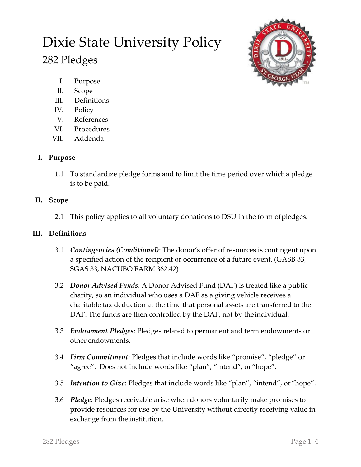# Dixie State University Policy

# 282 Pledges



- I. Purpose
- II. Scope
- III. Definitions
- IV. Policy
- V. References
- VI. Procedures
- VII. Addenda

# **I. Purpose**

1.1 To standardize pledge forms and to limit the time period over whicha pledge is to be paid.

## **II. Scope**

2.1 This policy applies to all voluntary donations to DSU in the form ofpledges.

# **III. Definitions**

- 3.1 *Contingencies (Conditional)*: The donor's offer of resources is contingent upon a specified action of the recipient or occurrence of a future event. (GASB 33, SGAS 33, NACUBO FARM 362.42)
- 3.2 *Donor Advised Funds*: A Donor Advised Fund (DAF) is treated like a public charity, so an individual who uses a DAF as a giving vehicle receives a charitable tax deduction at the time that personal assets are transferred to the DAF. The funds are then controlled by the DAF, not by theindividual.
- 3.3 *Endowment Pledges*: Pledges related to permanent and term endowments or other endowments.
- 3.4 *Firm Commitment*: Pledges that include words like "promise", "pledge" or "agree". Does not include words like "plan", "intend", or "hope".
- 3.5 *Intention to Give*: Pledges that include words like "plan", "intend", or "hope".
- 3.6 *Pledge*: Pledges receivable arise when donors voluntarily make promises to provide resources for use by the University without directly receiving value in exchange from the institution.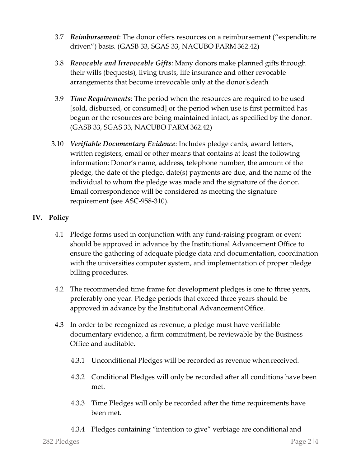- 3.7 *Reimbursement*: The donor offers resources on a reimbursement ("expenditure driven") basis. (GASB 33, SGAS 33, NACUBO FARM 362.42)
- 3.8 *Revocable and Irrevocable Gifts*: Many donors make planned gifts through their wills (bequests), living trusts, life insurance and other revocable arrangements that become irrevocable only at the donor'sdeath
- 3.9 *Time Requirements*: The period when the resources are required to be used [sold, disbursed, or consumed] or the period when use is first permitted has begun or the resources are being maintained intact, as specified by the donor. (GASB 33, SGAS 33, NACUBO FARM 362.42)
- 3.10 *Verifiable Documentary Evidence*: Includes pledge cards, award letters, written registers, email or other means that contains at least the following information: Donor's name, address, telephone number, the amount of the pledge, the date of the pledge, date(s) payments are due, and the name of the individual to whom the pledge was made and the signature of the donor. Email correspondence will be considered as meeting the signature requirement (see ASC-958-310).

### **IV. Policy**

- 4.1 Pledge forms used in conjunction with any fund-raising program or event should be approved in advance by the Institutional Advancement Office to ensure the gathering of adequate pledge data and documentation, coordination with the universities computer system, and implementation of proper pledge billing procedures.
- 4.2 The recommended time frame for development pledges is one to three years, preferably one year. Pledge periods that exceed three years should be approved in advance by the Institutional AdvancementOffice.
- 4.3 In order to be recognized as revenue, a pledge must have verifiable documentary evidence, a firm commitment, be reviewable by the Business Office and auditable.
	- 4.3.1 Unconditional Pledges will be recorded as revenue whenreceived.
	- 4.3.2 Conditional Pledges will only be recorded after all conditions have been met.
	- 4.3.3 Time Pledges will only be recorded after the time requirements have been met.
	- 4.3.4 Pledges containing "intention to give" verbiage are conditional and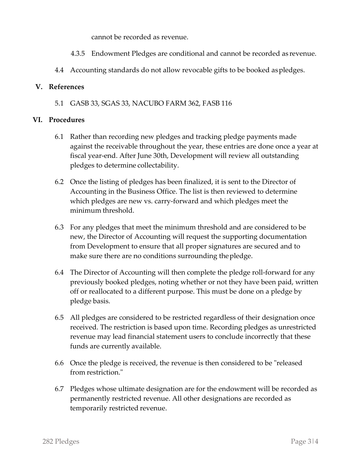cannot be recorded as revenue.

- 4.3.5 Endowment Pledges are conditional and cannot be recorded as revenue.
- 4.4 Accounting standards do not allow revocable gifts to be booked aspledges.

#### **V. References**

5.1 GASB 33, SGAS 33, NACUBO FARM 362, FASB 116

#### **VI. Procedures**

- 6.1 Rather than recording new pledges and tracking pledge payments made against the receivable throughout the year, these entries are done once a year at fiscal year-end. After June 30th, Development will review all outstanding pledges to determine collectability.
- 6.2 Once the listing of pledges has been finalized, it is sent to the Director of Accounting in the Business Office. The list is then reviewed to determine which pledges are new vs. carry-forward and which pledges meet the minimum threshold.
- 6.3 For any pledges that meet the minimum threshold and are considered to be new, the Director of Accounting will request the supporting documentation from Development to ensure that all proper signatures are secured and to make sure there are no conditions surrounding thepledge.
- 6.4 The Director of Accounting will then complete the pledge roll-forward for any previously booked pledges, noting whether or not they have been paid, written off or reallocated to a different purpose. This must be done on a pledge by pledge basis.
- 6.5 All pledges are considered to be restricted regardless of their designation once received. The restriction is based upon time. Recording pledges as unrestricted revenue may lead financial statement users to conclude incorrectly that these funds are currently available.
- 6.6 Once the pledge is received, the revenue is then considered to be "released from restriction."
- 6.7 Pledges whose ultimate designation are for the endowment will be recorded as permanently restricted revenue. All other designations are recorded as temporarily restricted revenue.